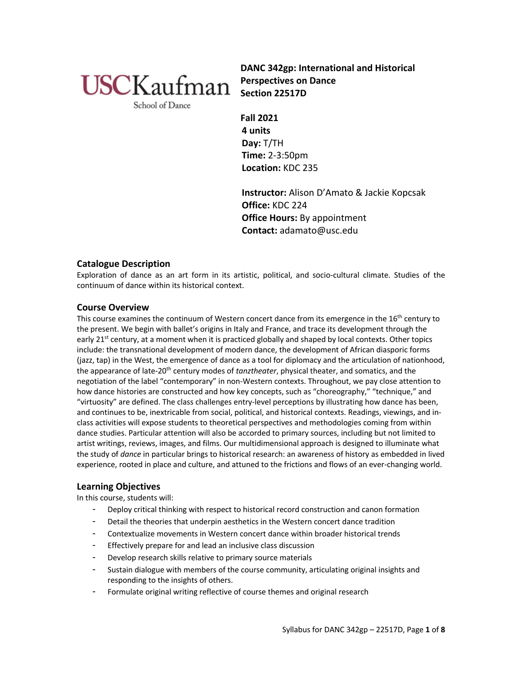

**DANC 342gp: International and Historical Perspectives on Dance Section 22517D**

School of Dance

**Fall 2021 4 units Day:** T/TH **Time:** 2-3:50pm **Location:** KDC 235

**Instructor:** Alison D'Amato & Jackie Kopcsak **Office:** KDC 224 **Office Hours:** By appointment **Contact:** adamato@usc.edu

# **Catalogue Description**

Exploration of dance as an art form in its artistic, political, and socio-cultural climate. Studies of the continuum of dance within its historical context.

# **Course Overview**

This course examines the continuum of Western concert dance from its emergence in the 16<sup>th</sup> century to the present. We begin with ballet's origins in Italy and France, and trace its development through the early 21<sup>st</sup> century, at a moment when it is practiced globally and shaped by local contexts. Other topics include: the transnational development of modern dance, the development of African diasporic forms (jazz, tap) in the West, the emergence of dance as a tool for diplomacy and the articulation of nationhood, the appearance of late-20th century modes of *tanztheater*, physical theater, and somatics, and the negotiation of the label "contemporary" in non-Western contexts. Throughout, we pay close attention to how dance histories are constructed and how key concepts, such as "choreography," "technique," and "virtuosity" are defined. The class challenges entry-level perceptions by illustrating how dance has been, and continues to be, inextricable from social, political, and historical contexts. Readings, viewings, and inclass activities will expose students to theoretical perspectives and methodologies coming from within dance studies. Particular attention will also be accorded to primary sources, including but not limited to artist writings, reviews, images, and films. Our multidimensional approach is designed to illuminate what the study of *dance* in particular brings to historical research: an awareness of history as embedded in lived experience, rooted in place and culture, and attuned to the frictions and flows of an ever-changing world.

# **Learning Objectives**

In this course, students will:

- Deploy critical thinking with respect to historical record construction and canon formation
- Detail the theories that underpin aesthetics in the Western concert dance tradition
- Contextualize movements in Western concert dance within broader historical trends
- Effectively prepare for and lead an inclusive class discussion
- Develop research skills relative to primary source materials
- Sustain dialogue with members of the course community, articulating original insights and responding to the insights of others.
- Formulate original writing reflective of course themes and original research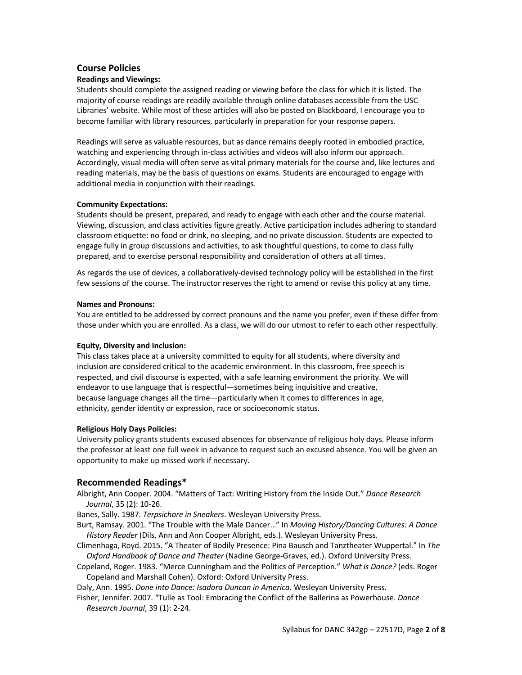# **Course Policies**

## **Readings and Viewings:**

Students should complete the assigned reading or viewing before the class for which it is listed. The majority of course readings are readily available through online databases accessible from the USC Libraries' website. While most of these articles will also be posted on Blackboard, I encourage you to become familiar with library resources, particularly in preparation for your response papers.

Readings will serve as valuable resources, but as dance remains deeply rooted in embodied practice, watching and experiencing through in-class activities and videos will also inform our approach. Accordingly, visual media will often serve as vital primary materials for the course and, like lectures and reading materials, may be the basis of questions on exams. Students are encouraged to engage with additional media in conjunction with their readings.

### **Community Expectations:**

Students should be present, prepared, and ready to engage with each other and the course material. Viewing, discussion, and class activities figure greatly. Active participation includes adhering to standard classroom etiquette: no food or drink, no sleeping, and no private discussion. Students are expected to engage fully in group discussions and activities, to ask thoughtful questions, to come to class fully prepared, and to exercise personal responsibility and consideration of others at all times.

As regards the use of devices, a collaboratively-devised technology policy will be established in the first few sessions of the course. The instructor reserves the right to amend or revise this policy at any time.

#### **Names and Pronouns:**

You are entitled to be addressed by correct pronouns and the name you prefer, even if these differ from those under which you are enrolled. As a class, we will do our utmost to refer to each other respectfully.

### **Equity, Diversity and Inclusion:**

This class takes place at a university committed to equity for all students, where diversity and inclusion are considered critical to the academic environment. In this classroom, free speech is respected, and civil discourse is expected, with a safe learning environment the priority. We will endeavor to use language that is respectful—sometimes being inquisitive and creative, because language changes all the time—particularly when it comes to differences in age, ethnicity, gender identity or expression, race or socioeconomic status.

### **Religious Holy Days Policies:**

University policy grants students excused absences for observance of religious holy days. Please inform the professor at least one full week in advance to request such an excused absence. You will be given an opportunity to make up missed work if necessary.

### **Recommended Readings\***

Albright, Ann Cooper. 2004. "Matters of Tact: Writing History from the Inside Out." *Dance Research Journal*, 35 (2): 10-26.

Banes, Sally. 1987. *Terpsichore in Sneakers*. Wesleyan University Press.

- Burt, Ramsay. 2001. "The Trouble with the Male Dancer…" In *Moving History/Dancing Cultures: A Dance History Reader* (Dils, Ann and Ann Cooper Albright, eds.). Wesleyan University Press.
- Climenhaga, Royd. 2015. "A Theater of Bodily Presence: Pina Bausch and Tanztheater Wuppertal." In *The Oxford Handbook of Dance and Theater* (Nadine George-Graves, ed.). Oxford University Press.
- Copeland, Roger. 1983. "Merce Cunningham and the Politics of Perception." *What is Dance?* (eds. Roger Copeland and Marshall Cohen). Oxford: Oxford University Press.

Daly, Ann. 1995. *Done into Dance: Isadora Duncan in America.* Wesleyan University Press.

Fisher, Jennifer. 2007. "Tulle as Tool: Embracing the Conflict of the Ballerina as Powerhouse. *Dance Research Journal*, 39 (1): 2-24.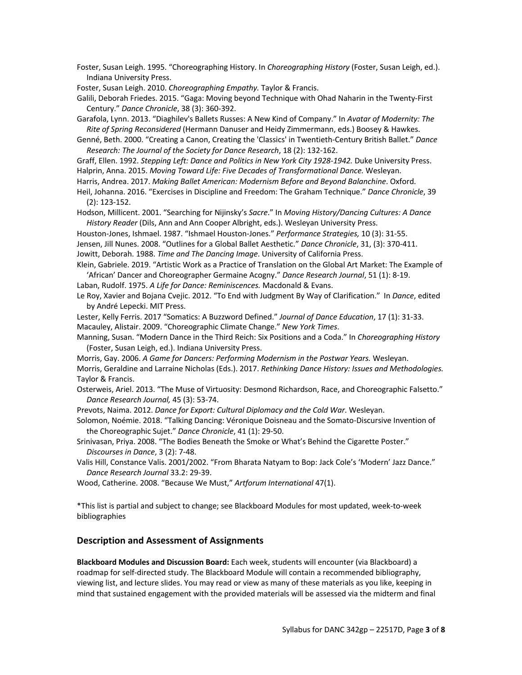Foster, Susan Leigh. 1995. "Choreographing History. In *Choreographing History* (Foster, Susan Leigh, ed.). Indiana University Press.

Foster, Susan Leigh. 2010. *Choreographing Empathy.* Taylor & Francis.

Galili, Deborah Friedes. 2015. "Gaga: Moving beyond Technique with Ohad Naharin in the Twenty-First Century." *Dance Chronicle*, 38 (3): 360-392.

Garafola, Lynn. 2013. "Diaghilev's Ballets Russes: A New Kind of Company." In *Avatar of Modernity: The Rite of Spring Reconsidered* (Hermann Danuser and Heidy Zimmermann, eds.) Boosey & Hawkes.

Genné, Beth. 2000. "Creating a Canon, Creating the 'Classics' in Twentieth-Century British Ballet." *Dance Research: The Journal of the Society for Dance Research*, 18 (2): 132-162.

Graff, Ellen. 1992. *Stepping Left: Dance and Politics in New York City 1928-1942.* Duke University Press.

Halprin, Anna. 2015. *Moving Toward Life: Five Decades of Transformational Dance.* Wesleyan.

Harris, Andrea. 2017. *Making Ballet American: Modernism Before and Beyond Balanchine*. Oxford.

Heil, Johanna. 2016. "Exercises in Discipline and Freedom: The Graham Technique." *Dance Chronicle*, 39 (2): 123-152.

Hodson, Millicent. 2001. "Searching for Nijinsky's *Sacre*." In *Moving History/Dancing Cultures: A Dance History Reader* (Dils, Ann and Ann Cooper Albright, eds.). Wesleyan University Press.

Houston-Jones, Ishmael. 1987. "Ishmael Houston-Jones." *Performance Strategies,* 10 (3): 31-55.

Jensen, Jill Nunes. 2008. "Outlines for a Global Ballet Aesthetic." *Dance Chronicle*, 31, (3): 370-411. Jowitt, Deborah. 1988. *Time and The Dancing Image*. University of California Press.

Klein, Gabriele. 2019. "Artistic Work as a Practice of Translation on the Global Art Market: The Example of 'African' Dancer and Choreographer Germaine Acogny." *Dance Research Journal*, 51 (1): 8-19.

Laban, Rudolf. 1975. *A Life for Dance: Reminiscences.* Macdonald & Evans.

Le Roy, Xavier and Bojana Cvejic. 2012. "To End with Judgment By Way of Clarification." In *Dance*, edited by André Lepecki. MIT Press.

Lester, Kelly Ferris. 2017 "Somatics: A Buzzword Defined." *Journal of Dance Education*, 17 (1): 31-33. Macauley, Alistair. 2009. "Choreographic Climate Change." *New York Times*.

Manning, Susan. "Modern Dance in the Third Reich: Six Positions and a Coda." In *Choreographing History*  (Foster, Susan Leigh, ed.). Indiana University Press.

Morris, Gay. 2006. *A Game for Dancers: Performing Modernism in the Postwar Years.* Wesleyan. Morris, Geraldine and Larraine Nicholas (Eds.). 2017. *Rethinking Dance History: Issues and Methodologies.* Taylor & Francis.

Osterweis, Ariel. 2013. "The Muse of Virtuosity: Desmond Richardson, Race, and Choreographic Falsetto." *Dance Research Journal,* 45 (3): 53-74.

Prevots, Naima. 2012. *Dance for Export: Cultural Diplomacy and the Cold War*. Wesleyan.

Solomon, Noémie. 2018. "Talking Dancing: Véronique Doisneau and the Somato-Discursive Invention of the Choreographic Sujet." *Dance Chronicle*, 41 (1): 29-50.

Srinivasan, Priya. 2008. "The Bodies Beneath the Smoke or What's Behind the Cigarette Poster." *Discourses in Dance*, 3 (2): 7-48.

Valis Hill, Constance Valis. 2001/2002. "From Bharata Natyam to Bop: Jack Cole's 'Modern' Jazz Dance." *Dance Research Journal* 33.2: 29-39.

Wood, Catherine. 2008. "Because We Must," *Artforum International* 47(1).

\*This list is partial and subject to change; see Blackboard Modules for most updated, week-to-week bibliographies

### **Description and Assessment of Assignments**

**Blackboard Modules and Discussion Board:** Each week, students will encounter (via Blackboard) a roadmap for self-directed study. The Blackboard Module will contain a recommended bibliography, viewing list, and lecture slides. You may read or view as many of these materials as you like, keeping in mind that sustained engagement with the provided materials will be assessed via the midterm and final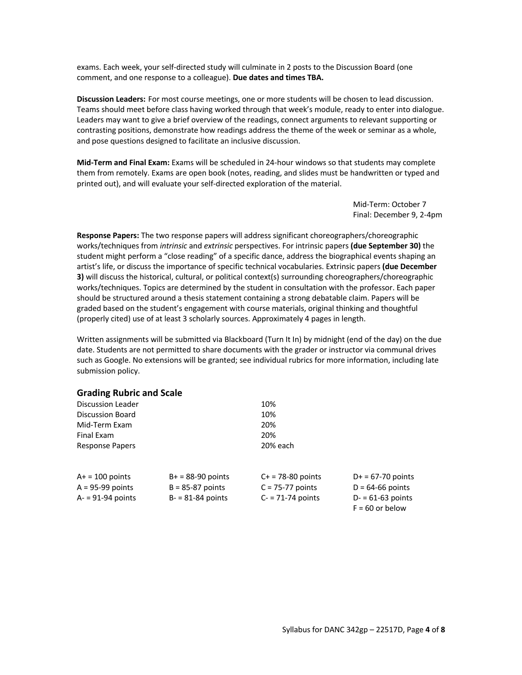exams. Each week, your self-directed study will culminate in 2 posts to the Discussion Board (one comment, and one response to a colleague). **Due dates and times TBA.**

**Discussion Leaders:** For most course meetings, one or more students will be chosen to lead discussion. Teams should meet before class having worked through that week's module, ready to enter into dialogue. Leaders may want to give a brief overview of the readings, connect arguments to relevant supporting or contrasting positions, demonstrate how readings address the theme of the week or seminar as a whole, and pose questions designed to facilitate an inclusive discussion.

**Mid-Term and Final Exam:** Exams will be scheduled in 24-hour windows so that students may complete them from remotely. Exams are open book (notes, reading, and slides must be handwritten or typed and printed out), and will evaluate your self-directed exploration of the material.

> Mid-Term: October 7 Final: December 9, 2-4pm

**Response Papers:** The two response papers will address significant choreographers/choreographic works/techniques from *intrinsic* and *extrinsic* perspectives. For intrinsic papers **(due September 30)** the student might perform a "close reading" of a specific dance, address the biographical events shaping an artist's life, or discuss the importance of specific technical vocabularies. Extrinsic papers **(due December 3)** will discuss the historical, cultural, or political context(s) surrounding choreographers/choreographic works/techniques. Topics are determined by the student in consultation with the professor. Each paper should be structured around a thesis statement containing a strong debatable claim. Papers will be graded based on the student's engagement with course materials, original thinking and thoughtful (properly cited) use of at least 3 scholarly sources. Approximately 4 pages in length.

Written assignments will be submitted via Blackboard (Turn It In) by midnight (end of the day) on the due date. Students are not permitted to share documents with the grader or instructor via communal drives such as Google. No extensions will be granted; see individual rubrics for more information, including late submission policy.

| <b>Grading Rubric and Scale</b> |  |  |  |
|---------------------------------|--|--|--|
|---------------------------------|--|--|--|

| <b>Discussion Leader</b> |                      | 10%                    |                                         |
|--------------------------|----------------------|------------------------|-----------------------------------------|
| Discussion Board         |                      | 10%                    |                                         |
| Mid-Term Exam            |                      | 20%                    |                                         |
| Final Exam               |                      | 20%                    |                                         |
| <b>Response Papers</b>   |                      | 20% each               |                                         |
| $A+ = 100$ points        | $B+ = 88-90$ points  | $C_{+}$ = 78-80 points | $D+ = 67-70$ points                     |
| $A = 95-99$ points       | $B = 85-87$ points   | $C = 75-77$ points     | $D = 64-66$ points                      |
| $A = 91-94$ points       | $B - 81 - 84$ points | $C = 71-74$ points     | $D = 61-63$ points<br>$F = 60$ or below |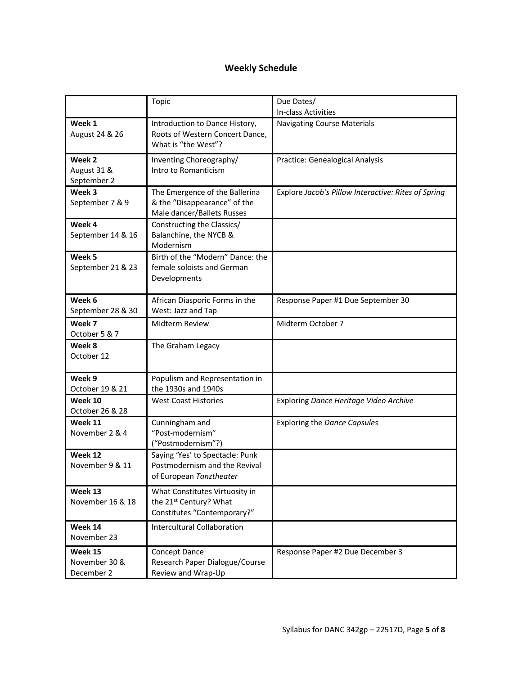# **Weekly Schedule**

|                                        | Topic                                                                                               | Due Dates/<br>In-class Activities                   |
|----------------------------------------|-----------------------------------------------------------------------------------------------------|-----------------------------------------------------|
| Week 1<br>August 24 & 26               | Introduction to Dance History,<br>Roots of Western Concert Dance,<br>What is "the West"?            | <b>Navigating Course Materials</b>                  |
| Week 2<br>August 31 &<br>September 2   | Inventing Choreography/<br>Intro to Romanticism                                                     | Practice: Genealogical Analysis                     |
| Week 3<br>September 7 & 9              | The Emergence of the Ballerina<br>& the "Disappearance" of the<br>Male dancer/Ballets Russes        | Explore Jacob's Pillow Interactive: Rites of Spring |
| Week 4<br>September 14 & 16            | Constructing the Classics/<br>Balanchine, the NYCB &<br>Modernism                                   |                                                     |
| Week 5<br>September 21 & 23            | Birth of the "Modern" Dance: the<br>female soloists and German<br>Developments                      |                                                     |
| Week 6<br>September 28 & 30            | African Diasporic Forms in the<br>West: Jazz and Tap                                                | Response Paper #1 Due September 30                  |
| Week 7<br>October 5 & 7                | Midterm Review                                                                                      | Midterm October 7                                   |
| Week 8<br>October 12                   | The Graham Legacy                                                                                   |                                                     |
| Week 9<br>October 19 & 21              | Populism and Representation in<br>the 1930s and 1940s                                               |                                                     |
| Week 10<br>October 26 & 28             | <b>West Coast Histories</b>                                                                         | Exploring Dance Heritage Video Archive              |
| Week 11<br>November 2 & 4              | Cunningham and<br>"Post-modernism"<br>("Postmodernism"?)                                            | <b>Exploring the Dance Capsules</b>                 |
| Week 12<br>November 9 & 11             | Saying 'Yes' to Spectacle: Punk<br>Postmodernism and the Revival<br>of European Tanztheater         |                                                     |
| Week 13<br>November 16 & 18            | What Constitutes Virtuosity in<br>the 21 <sup>st</sup> Century? What<br>Constitutes "Contemporary?" |                                                     |
| Week 14<br>November 23                 | <b>Intercultural Collaboration</b>                                                                  |                                                     |
| Week 15<br>November 30 &<br>December 2 | Concept Dance<br>Research Paper Dialogue/Course<br>Review and Wrap-Up                               | Response Paper #2 Due December 3                    |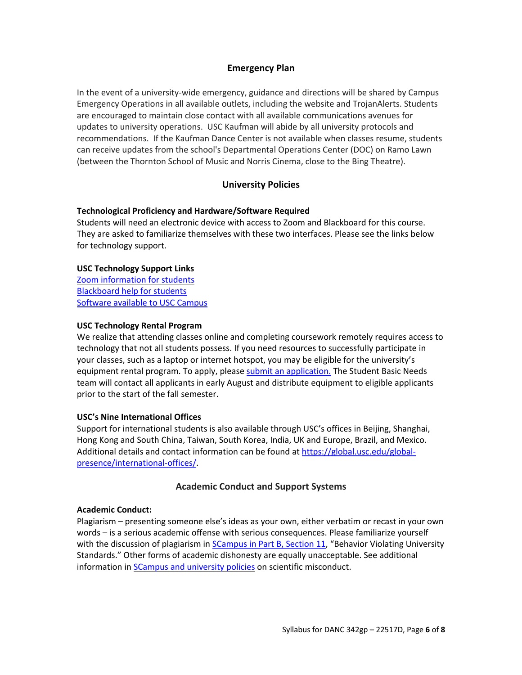# **Emergency Plan**

In the event of a university-wide emergency, guidance and directions will be shared by Campus Emergency Operations in all available outlets, including the website and TrojanAlerts. Students are encouraged to maintain close contact with all available communications avenues for updates to university operations. USC Kaufman will abide by all university protocols and recommendations. If the Kaufman Dance Center is not available when classes resume, students can receive updates from the school's Departmental Operations Center (DOC) on Ramo Lawn (between the Thornton School of Music and Norris Cinema, close to the Bing Theatre).

# **University Policies**

# **Technological Proficiency and Hardware/Software Required**

Students will need an electronic device with access to Zoom and Blackboard for this course. They are asked to familiarize themselves with these two interfaces. Please see the links below for technology support.

# **USC Technology Support Links**

Zoom information for students Blackboard help for students Software available to USC Campus

# **USC Technology Rental Program**

We realize that attending classes online and completing coursework remotely requires access to technology that not all students possess. If you need resources to successfully participate in your classes, such as a laptop or internet hotspot, you may be eligible for the university's equipment rental program. To apply, please submit an application. The Student Basic Needs team will contact all applicants in early August and distribute equipment to eligible applicants prior to the start of the fall semester.

# **USC's Nine International Offices**

Support for international students is also available through USC's offices in Beijing, Shanghai, Hong Kong and South China, Taiwan, South Korea, India, UK and Europe, Brazil, and Mexico. Additional details and contact information can be found at https://global.usc.edu/globalpresence/international-offices/.

# **Academic Conduct and Support Systems**

### **Academic Conduct:**

Plagiarism – presenting someone else's ideas as your own, either verbatim or recast in your own words – is a serious academic offense with serious consequences. Please familiarize yourself with the discussion of plagiarism in **SCampus in Part B, Section 11**, "Behavior Violating University Standards." Other forms of academic dishonesty are equally unacceptable. See additional information in **SCampus and university policies** on scientific misconduct.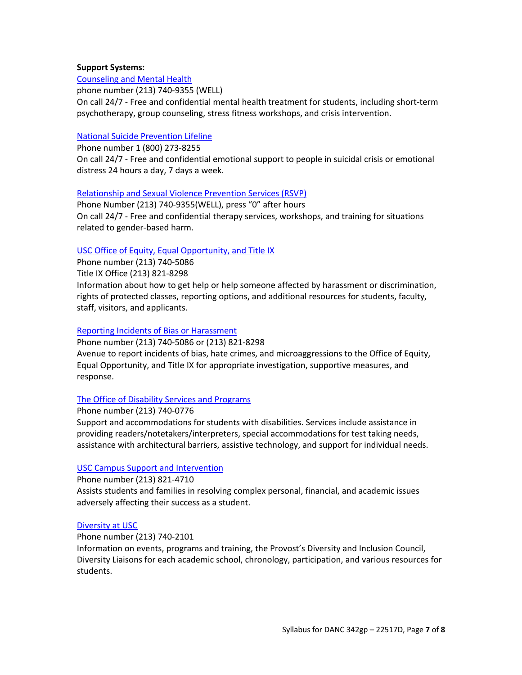# **Support Systems:**

Counseling and Mental Health phone number (213) 740-9355 (WELL) On call 24/7 - Free and confidential mental health treatment for students, including short-term psychotherapy, group counseling, stress fitness workshops, and crisis intervention.

# National Suicide Prevention Lifeline

Phone number 1 (800) 273-8255 On call 24/7 - Free and confidential emotional support to people in suicidal crisis or emotional distress 24 hours a day, 7 days a week.

### Relationship and Sexual Violence Prevention Services (RSVP)

Phone Number (213) 740-9355(WELL), press "0" after hours On call 24/7 - Free and confidential therapy services, workshops, and training for situations related to gender-based harm.

# USC Office of Equity, Equal Opportunity, and Title IX

Phone number (213) 740-5086

Title IX Office (213) 821-8298

Information about how to get help or help someone affected by harassment or discrimination, rights of protected classes, reporting options, and additional resources for students, faculty, staff, visitors, and applicants.

# Reporting Incidents of Bias or Harassment

Phone number (213) 740-5086 or (213) 821-8298 Avenue to report incidents of bias, hate crimes, and microaggressions to the Office of Equity, Equal Opportunity, and Title IX for appropriate investigation, supportive measures, and response.

### The Office of Disability Services and Programs

Phone number (213) 740-0776

Support and accommodations for students with disabilities. Services include assistance in providing readers/notetakers/interpreters, special accommodations for test taking needs, assistance with architectural barriers, assistive technology, and support for individual needs.

### USC Campus Support and Intervention

Phone number (213) 821-4710 Assists students and families in resolving complex personal, financial, and academic issues adversely affecting their success as a student.

### Diversity at USC

Phone number (213) 740-2101

Information on events, programs and training, the Provost's Diversity and Inclusion Council, Diversity Liaisons for each academic school, chronology, participation, and various resources for students.